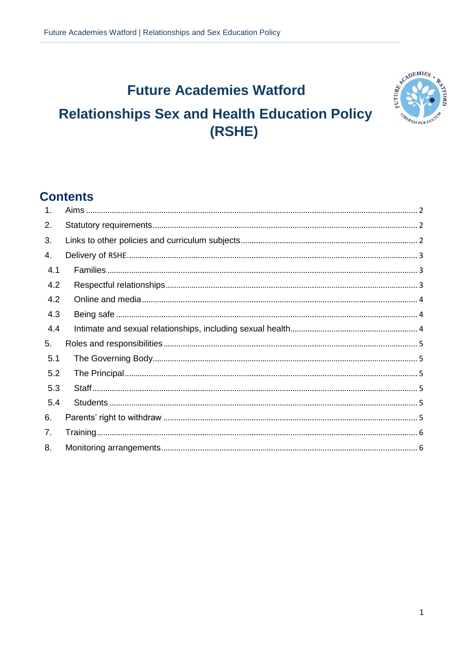# **Future Academies Watford**

# **Relationships Sex and Health Education Policy** (RSHE)



## **Contents**

| $\mathbf{1}$ . |  |
|----------------|--|
| 2.             |  |
| 3.             |  |
| 4.             |  |
| 4.1            |  |
| 4.2            |  |
| 4.2            |  |
| 4.3            |  |
| 4.4            |  |
| 5.             |  |
| 5.1            |  |
| 5.2            |  |
| 5.3            |  |
| 5.4            |  |
| 6.             |  |
| 7.             |  |
| 8.             |  |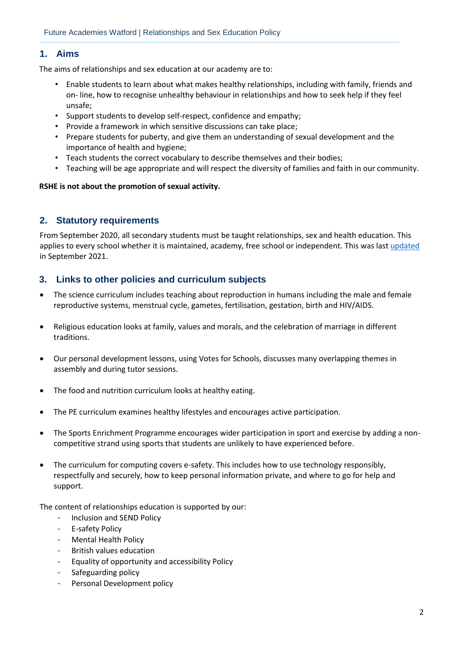#### <span id="page-1-0"></span>**1. Aims**

The aims of relationships and sex education at our academy are to:

- Enable students to learn about what makes healthy relationships, including with family, friends and on- line, how to recognise unhealthy behaviour in relationships and how to seek help if they feel unsafe;
- Support students to develop self-respect, confidence and empathy;
- Provide a framework in which sensitive discussions can take place;
- Prepare students for puberty, and give them an understanding of sexual development and the importance of health and hygiene;
- Teach students the correct vocabulary to describe themselves and their bodies;
- Teaching will be age appropriate and will respect the diversity of families and faith in our community.

#### **RSHE is not about the promotion of sexual activity.**

#### <span id="page-1-1"></span>**2. Statutory requirements**

From September 2020, all secondary students must be taught relationships, sex and health education. This applies to every school whether it is maintained, academy, free school or independent. This was last [updated](chrome-extension://efaidnbmnnnibpcajpcglclefindmkaj/viewer.html?pdfurl=https%3A%2F%2Fassets.publishing.service.gov.uk%2Fgovernment%2Fuploads%2Fsystem%2Fuploads%2Fattachment_data%2Ffile%2F1019542%2FRelationships_Education__Relationships_and_Sex_Education__RSE__and_Health_Education.pdf&clen=635671&chunk=true) in September 2021.

#### <span id="page-1-2"></span>**3. Links to other policies and curriculum subjects**

- The science curriculum includes teaching about reproduction in humans including the male and female reproductive systems, menstrual cycle, gametes, fertilisation, gestation, birth and HIV/AIDS.
- Religious education looks at family, values and morals, and the celebration of marriage in different traditions.
- Our personal development lessons, using Votes for Schools, discusses many overlapping themes in assembly and during tutor sessions.
- The food and nutrition curriculum looks at healthy eating.
- The PE curriculum examines healthy lifestyles and encourages active participation.
- The Sports Enrichment Programme encourages wider participation in sport and exercise by adding a noncompetitive strand using sports that students are unlikely to have experienced before.
- The curriculum for computing covers e-safety. This includes how to use technology responsibly, respectfully and securely, how to keep personal information private, and where to go for help and support.

The content of relationships education is supported by our:

- Inclusion and SEND Policy
- E-safety Policy
- Mental Health Policy
- British values education
- Equality of opportunity and accessibility Policy
- Safeguarding policy
- Personal Development policy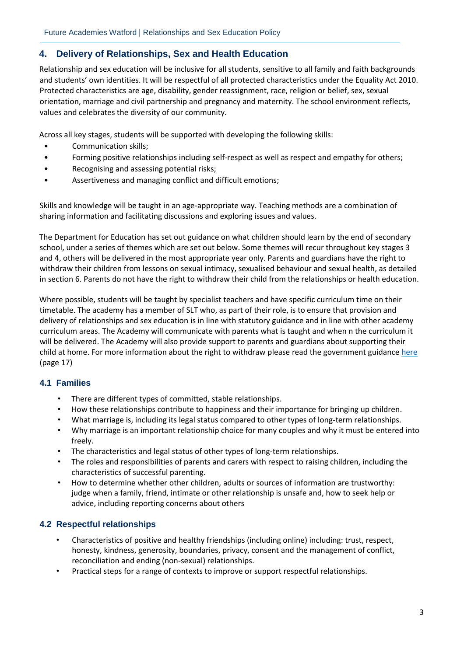### <span id="page-2-0"></span>**4. Delivery of Relationships, Sex and Health Education**

Relationship and sex education will be inclusive for all students, sensitive to all family and faith backgrounds and students' own identities. It will be respectful of all protected characteristics under the Equality Act 2010. Protected characteristics are age, disability, gender reassignment, race, religion or belief, sex, sexual orientation, marriage and civil partnership and pregnancy and maternity. The school environment reflects, values and celebrates the diversity of our community.

Across all key stages, students will be supported with developing the following skills:

- Communication skills;
- Forming positive relationships including self-respect as well as respect and empathy for others;
- Recognising and assessing potential risks;
- Assertiveness and managing conflict and difficult emotions;

Skills and knowledge will be taught in an age-appropriate way. Teaching methods are a combination of sharing information and facilitating discussions and exploring issues and values.

The Department for Education has set out guidance on what children should learn by the end of secondary school, under a series of themes which are set out below. Some themes will recur throughout key stages 3 and 4, others will be delivered in the most appropriate year only. Parents and guardians have the right to withdraw their children from lessons on sexual intimacy, sexualised behaviour and sexual health, as detailed in section 6. Parents do not have the right to withdraw their child from the relationships or health education.

Where possible, students will be taught by specialist teachers and have specific curriculum time on their timetable. The academy has a member of SLT who, as part of their role, is to ensure that provision and delivery of relationships and sex education is in line with statutory guidance and in line with other academy curriculum areas. The Academy will communicate with parents what is taught and when n the curriculum it will be delivered. The Academy will also provide support to parents and guardians about supporting their child at home. For more information about the right to withdraw please read the government guidance [here](chrome-extension://efaidnbmnnnibpcajpcglclefindmkaj/viewer.html?pdfurl=https%3A%2F%2Fassets.publishing.service.gov.uk%2Fgovernment%2Fuploads%2Fsystem%2Fuploads%2Fattachment_data%2Ffile%2F1019542%2FRelationships_Education__Relationships_and_Sex_Education__RSE__and_Health_Education.pdf&clen=635671&chunk=true) (page 17)

#### <span id="page-2-1"></span>**4.1 Families**

- There are different types of committed, stable relationships.
- How these relationships contribute to happiness and their importance for bringing up children.
- What marriage is, including its legal status compared to other types of long-term relationships.
- Why marriage is an important relationship choice for many couples and why it must be entered into freely.
- The characteristics and legal status of other types of long-term relationships.
- The roles and responsibilities of parents and carers with respect to raising children, including the characteristics of successful parenting.
- How to determine whether other children, adults or sources of information are trustworthy: judge when a family, friend, intimate or other relationship is unsafe and, how to seek help or advice, including reporting concerns about others

#### <span id="page-2-2"></span>**4.2 Respectful relationships**

- Characteristics of positive and healthy friendships (including online) including: trust, respect, honesty, kindness, generosity, boundaries, privacy, consent and the management of conflict, reconciliation and ending (non-sexual) relationships.
- Practical steps for a range of contexts to improve or support respectful relationships.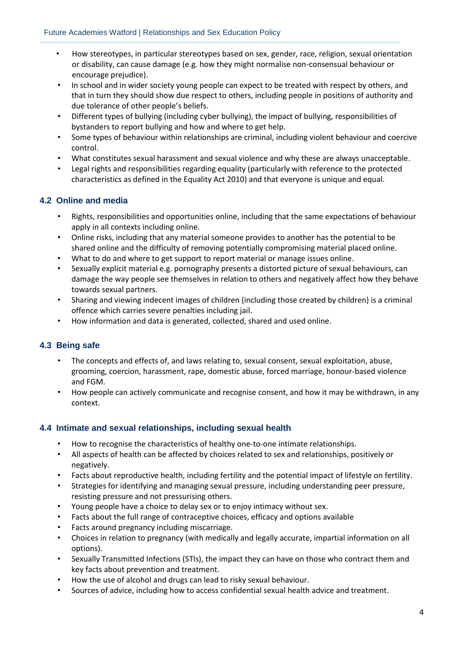- How stereotypes, in particular stereotypes based on sex, gender, race, religion, sexual orientation or disability, can cause damage (e.g. how they might normalise non-consensual behaviour or encourage prejudice).
- In school and in wider society young people can expect to be treated with respect by others, and that in turn they should show due respect to others, including people in positions of authority and due tolerance of other people's beliefs.
- Different types of bullying (including cyber bullying), the impact of bullying, responsibilities of bystanders to report bullying and how and where to get help.
- Some types of behaviour within relationships are criminal, including violent behaviour and coercive control.
- What constitutes sexual harassment and sexual violence and why these are always unacceptable.
- Legal rights and responsibilities regarding equality (particularly with reference to the protected characteristics as defined in the Equality Act 2010) and that everyone is unique and equal.

#### <span id="page-3-0"></span>**4.2 Online and media**

- Rights, responsibilities and opportunities online, including that the same expectations of behaviour apply in all contexts including online.
- Online risks, including that any material someone provides to another has the potential to be shared online and the difficulty of removing potentially compromising material placed online.
- What to do and where to get support to report material or manage issues online.
- Sexually explicit material e.g. pornography presents a distorted picture of sexual behaviours, can damage the way people see themselves in relation to others and negatively affect how they behave towards sexual partners.
- Sharing and viewing indecent images of children (including those created by children) is a criminal offence which carries severe penalties including jail.
- How information and data is generated, collected, shared and used online.

#### <span id="page-3-1"></span>**4.3 Being safe**

- The concepts and effects of, and laws relating to, sexual consent, sexual exploitation, abuse, grooming, coercion, harassment, rape, domestic abuse, forced marriage, honour-based violence and FGM.
- How people can actively communicate and recognise consent, and how it may be withdrawn, in any context.

#### <span id="page-3-2"></span>**4.4 Intimate and sexual relationships, including sexual health**

- How to recognise the characteristics of healthy one-to-one intimate relationships.
- All aspects of health can be affected by choices related to sex and relationships, positively or negatively.
- Facts about reproductive health, including fertility and the potential impact of lifestyle on fertility.
- Strategies for identifying and managing sexual pressure, including understanding peer pressure, resisting pressure and not pressurising others.
- Young people have a choice to delay sex or to enjoy intimacy without sex.
- Facts about the full range of contraceptive choices, efficacy and options available
- Facts around pregnancy including miscarriage.
- Choices in relation to pregnancy (with medically and legally accurate, impartial information on all options).
- Sexually Transmitted Infections (STIs), the impact they can have on those who contract them and key facts about prevention and treatment.
- How the use of alcohol and drugs can lead to risky sexual behaviour.
- Sources of advice, including how to access confidential sexual health advice and treatment.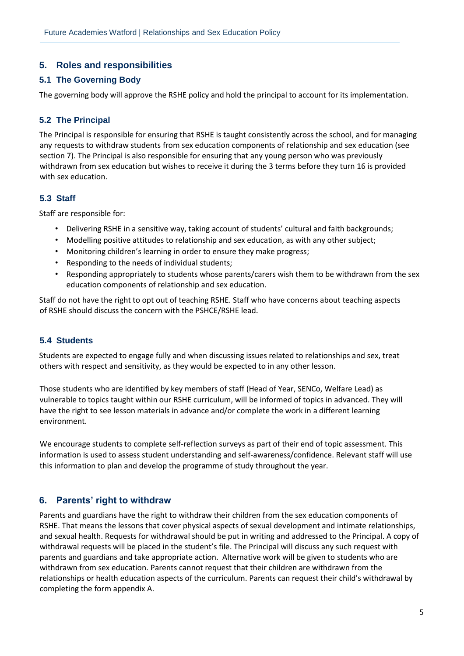### <span id="page-4-0"></span>**5. Roles and responsibilities**

#### <span id="page-4-1"></span>**5.1 The Governing Body**

The governing body will approve the RSHE policy and hold the principal to account for its implementation.

#### <span id="page-4-2"></span>**5.2 The Principal**

The Principal is responsible for ensuring that RSHE is taught consistently across the school, and for managing any requests to withdraw students from sex education components of relationship and sex education (see section 7). The Principal is also responsible for ensuring that any young person who was previously withdrawn from sex education but wishes to receive it during the 3 terms before they turn 16 is provided with sex education.

#### <span id="page-4-3"></span>**5.3 Staff**

Staff are responsible for:

- Delivering RSHE in a sensitive way, taking account of students' cultural and faith backgrounds;
- Modelling positive attitudes to relationship and sex education, as with any other subject;
- Monitoring children's learning in order to ensure they make progress;
- Responding to the needs of individual students;
- Responding appropriately to students whose parents/carers wish them to be withdrawn from the sex education components of relationship and sex education.

Staff do not have the right to opt out of teaching RSHE. Staff who have concerns about teaching aspects of RSHE should discuss the concern with the PSHCE/RSHE lead.

#### <span id="page-4-4"></span>**5.4 Students**

Students are expected to engage fully and when discussing issues related to relationships and sex, treat others with respect and sensitivity, as they would be expected to in any other lesson.

Those students who are identified by key members of staff (Head of Year, SENCo, Welfare Lead) as vulnerable to topics taught within our RSHE curriculum, will be informed of topics in advanced. They will have the right to see lesson materials in advance and/or complete the work in a different learning environment.

We encourage students to complete self-reflection surveys as part of their end of topic assessment. This information is used to assess student understanding and self-awareness/confidence. Relevant staff will use this information to plan and develop the programme of study throughout the year.

#### <span id="page-4-5"></span>**6. Parents' right to withdraw**

Parents and guardians have the right to withdraw their children from the sex education components of RSHE. That means the lessons that cover physical aspects of sexual development and intimate relationships, and sexual health. Requests for withdrawal should be put in writing and addressed to the Principal. A copy of withdrawal requests will be placed in the student's file. The Principal will discuss any such request with parents and guardians and take appropriate action. Alternative work will be given to students who are withdrawn from sex education. Parents cannot request that their children are withdrawn from the relationships or health education aspects of the curriculum. Parents can request their child's withdrawal by completing the form appendix A.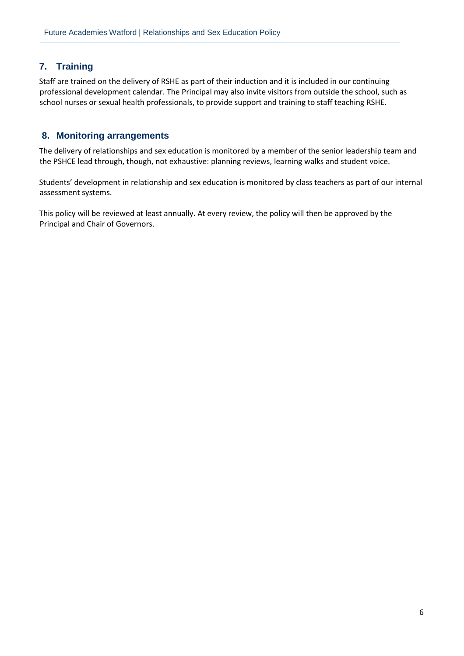### <span id="page-5-0"></span>**7. Training**

Staff are trained on the delivery of RSHE as part of their induction and it is included in our continuing professional development calendar. The Principal may also invite visitors from outside the school, such as school nurses or sexual health professionals, to provide support and training to staff teaching RSHE.

#### <span id="page-5-1"></span>**8. Monitoring arrangements**

The delivery of relationships and sex education is monitored by a member of the senior leadership team and the PSHCE lead through, though, not exhaustive: planning reviews, learning walks and student voice.

Students' development in relationship and sex education is monitored by class teachers as part of our internal assessment systems.

This policy will be reviewed at least annually. At every review, the policy will then be approved by the Principal and Chair of Governors.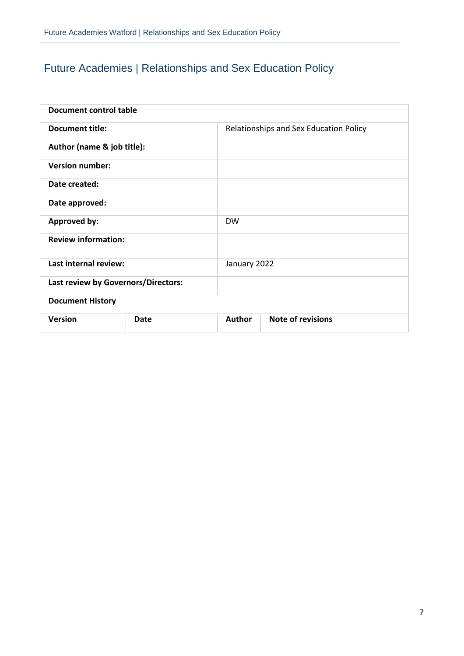## Future Academies | Relationships and Sex Education Policy

| Document control table              |      |               |                                        |  |  |  |  |
|-------------------------------------|------|---------------|----------------------------------------|--|--|--|--|
| <b>Document title:</b>              |      |               | Relationships and Sex Education Policy |  |  |  |  |
| Author (name & job title):          |      |               |                                        |  |  |  |  |
| <b>Version number:</b>              |      |               |                                        |  |  |  |  |
| Date created:                       |      |               |                                        |  |  |  |  |
| Date approved:                      |      |               |                                        |  |  |  |  |
| <b>Approved by:</b>                 |      | <b>DW</b>     |                                        |  |  |  |  |
| <b>Review information:</b>          |      |               |                                        |  |  |  |  |
| Last internal review:               |      | January 2022  |                                        |  |  |  |  |
| Last review by Governors/Directors: |      |               |                                        |  |  |  |  |
| <b>Document History</b>             |      |               |                                        |  |  |  |  |
| <b>Version</b>                      | Date | <b>Author</b> | <b>Note of revisions</b>               |  |  |  |  |